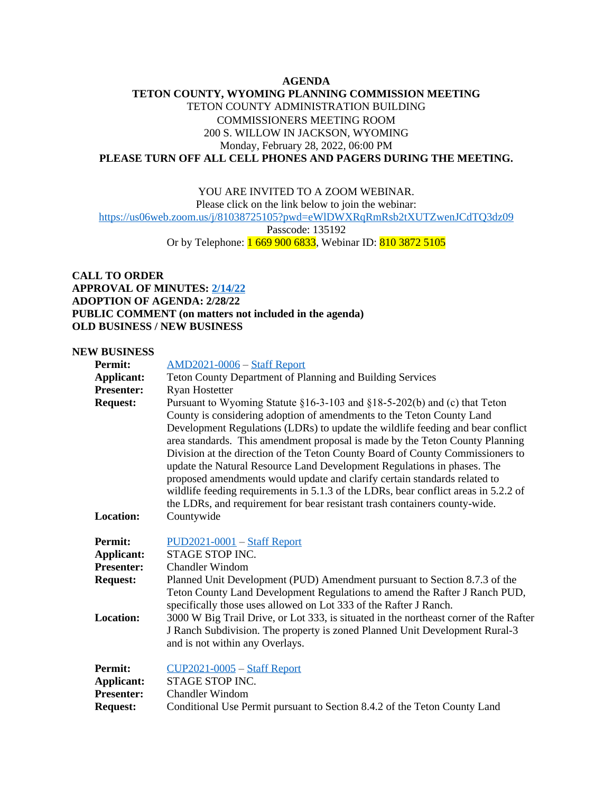## **AGENDA**

## **TETON COUNTY, WYOMING PLANNING COMMISSION MEETING** TETON COUNTY ADMINISTRATION BUILDING COMMISSIONERS MEETING ROOM 200 S. WILLOW IN JACKSON, WYOMING Monday, February 28, 2022, 06:00 PM **PLEASE TURN OFF ALL CELL PHONES AND PAGERS DURING THE MEETING.**

YOU ARE INVITED TO A ZOOM WEBINAR. Please click on the link below to join the webinar:

<https://us06web.zoom.us/j/81038725105?pwd=eWlDWXRqRmRsb2tXUTZwenJCdTQ3dz09>

Passcode: 135192

Or by Telephone: 1 669 900 6833, Webinar ID: 810 3872 5105

**CALL TO ORDER APPROVAL OF MINUTES: [2/14/22](http://tetoncountywy.gov/DocumentCenter/View/21350/21422-PC-Minute-Sheet) ADOPTION OF AGENDA: 2/28/22 PUBLIC COMMENT (on matters not included in the agenda) OLD BUSINESS / NEW BUSINESS**

## **NEW BUSINESS**

| <b>Permit:</b>                                    | <b>AMD2021-0006 - Staff Report</b>                                                                                                                                                                                                                                                                                                                                                                                                                                                                                                                                                                                                                                                                                                   |
|---------------------------------------------------|--------------------------------------------------------------------------------------------------------------------------------------------------------------------------------------------------------------------------------------------------------------------------------------------------------------------------------------------------------------------------------------------------------------------------------------------------------------------------------------------------------------------------------------------------------------------------------------------------------------------------------------------------------------------------------------------------------------------------------------|
| <b>Applicant:</b>                                 | Teton County Department of Planning and Building Services                                                                                                                                                                                                                                                                                                                                                                                                                                                                                                                                                                                                                                                                            |
| <b>Presenter:</b>                                 | <b>Ryan Hostetter</b>                                                                                                                                                                                                                                                                                                                                                                                                                                                                                                                                                                                                                                                                                                                |
| <b>Request:</b>                                   | Pursuant to Wyoming Statute §16-3-103 and §18-5-202(b) and (c) that Teton<br>County is considering adoption of amendments to the Teton County Land<br>Development Regulations (LDRs) to update the wildlife feeding and bear conflict<br>area standards. This amendment proposal is made by the Teton County Planning<br>Division at the direction of the Teton County Board of County Commissioners to<br>update the Natural Resource Land Development Regulations in phases. The<br>proposed amendments would update and clarify certain standards related to<br>wildlife feeding requirements in 5.1.3 of the LDRs, bear conflict areas in 5.2.2 of<br>the LDRs, and requirement for bear resistant trash containers county-wide. |
| Location:                                         | Countywide                                                                                                                                                                                                                                                                                                                                                                                                                                                                                                                                                                                                                                                                                                                           |
| Permit:<br><b>Applicant:</b><br><b>Presenter:</b> | $PUD2021-0001 - Staff Report$<br>STAGE STOP INC.<br><b>Chandler Windom</b>                                                                                                                                                                                                                                                                                                                                                                                                                                                                                                                                                                                                                                                           |
| <b>Request:</b>                                   | Planned Unit Development (PUD) Amendment pursuant to Section 8.7.3 of the<br>Teton County Land Development Regulations to amend the Rafter J Ranch PUD,<br>specifically those uses allowed on Lot 333 of the Rafter J Ranch.                                                                                                                                                                                                                                                                                                                                                                                                                                                                                                         |
| <b>Location:</b>                                  | 3000 W Big Trail Drive, or Lot 333, is situated in the northeast corner of the Rafter<br>J Ranch Subdivision. The property is zoned Planned Unit Development Rural-3<br>and is not within any Overlays.                                                                                                                                                                                                                                                                                                                                                                                                                                                                                                                              |
| <b>Permit:</b>                                    | $CUP2021-0005 - Staff Report$                                                                                                                                                                                                                                                                                                                                                                                                                                                                                                                                                                                                                                                                                                        |
| <b>Applicant:</b>                                 | STAGE STOP INC.                                                                                                                                                                                                                                                                                                                                                                                                                                                                                                                                                                                                                                                                                                                      |
| <b>Presenter:</b>                                 | <b>Chandler Windom</b>                                                                                                                                                                                                                                                                                                                                                                                                                                                                                                                                                                                                                                                                                                               |
| <b>Request:</b>                                   | Conditional Use Permit pursuant to Section 8.4.2 of the Teton County Land                                                                                                                                                                                                                                                                                                                                                                                                                                                                                                                                                                                                                                                            |